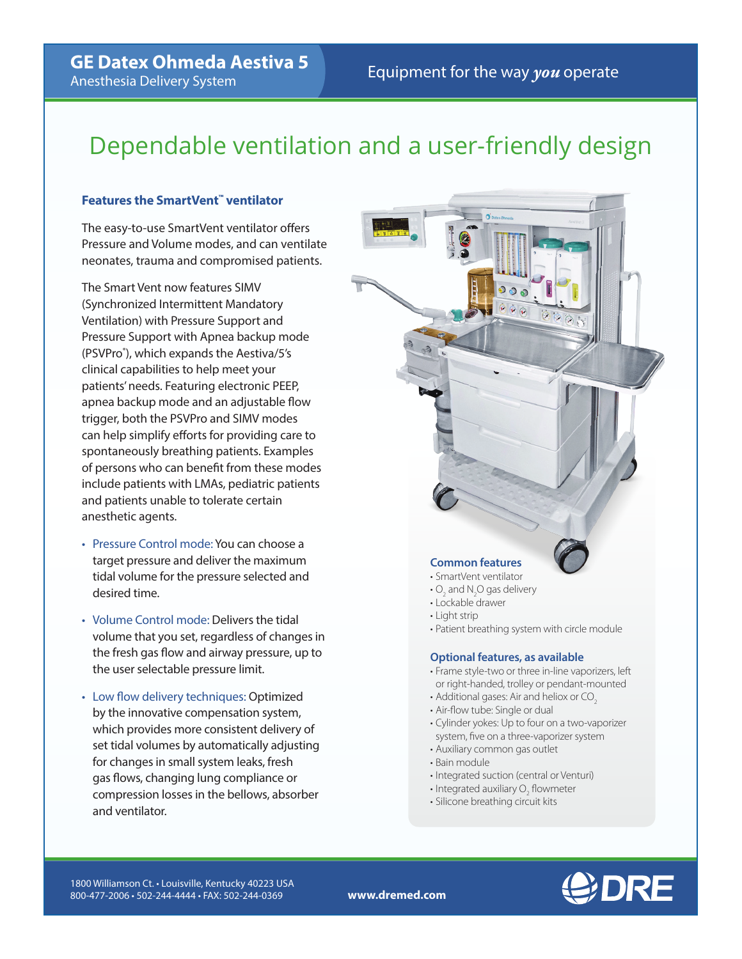**GE Datex Ohmeda Aestiva 5**<br>**Equipment for the way** *you* **operate** Anesthesia Delivery System

# Dependable ventilation and a user-friendly design

# **Features the SmartVent™ ventilator**

The easy-to-use SmartVent ventilator offers Pressure and Volume modes, and can ventilate neonates, trauma and compromised patients.

The Smart Vent now features SIMV (Synchronized Intermittent Mandatory Ventilation) with Pressure Support and Pressure Support with Apnea backup mode (PSVPro® ), which expands the Aestiva/5's clinical capabilities to help meet your patients' needs. Featuring electronic PEEP, apnea backup mode and an adjustable flow trigger, both the PSVPro and SIMV modes can help simplify efforts for providing care to spontaneously breathing patients. Examples of persons who can benefit from these modes include patients with LMAs, pediatric patients and patients unable to tolerate certain anesthetic agents.

- Pressure Control mode: You can choose a target pressure and deliver the maximum tidal volume for the pressure selected and desired time.
- Volume Control mode: Delivers the tidal volume that you set, regardless of changes in the fresh gas flow and airway pressure, up to the user selectable pressure limit.
- Low flow delivery techniques: Optimized by the innovative compensation system, which provides more consistent delivery of set tidal volumes by automatically adjusting for changes in small system leaks, fresh gas flows, changing lung compliance or compression losses in the bellows, absorber and ventilator.

# **Common features**

- SmartVent ventilator
- $\text{O}_2$  and N<sub>2</sub>O gas delivery
- Lockable drawer
- Light strip
- Patient breathing system with circle module

# **Optional features, as available**

- Frame style-two or three in-line vaporizers, left or right-handed, trolley or pendant-mounted
- Additional gases: Air and heliox or CO<sub>2</sub>
- Air-flow tube: Single or dual
- Cylinder yokes: Up to four on a two-vaporizer system, five on a three-vaporizer system
- Auxiliary common gas outlet
- Bain module
- Integrated suction (central or Venturi)
- Integrated auxiliary  $\overline{O}_2$  flowmeter
- Silicone breathing circuit kits

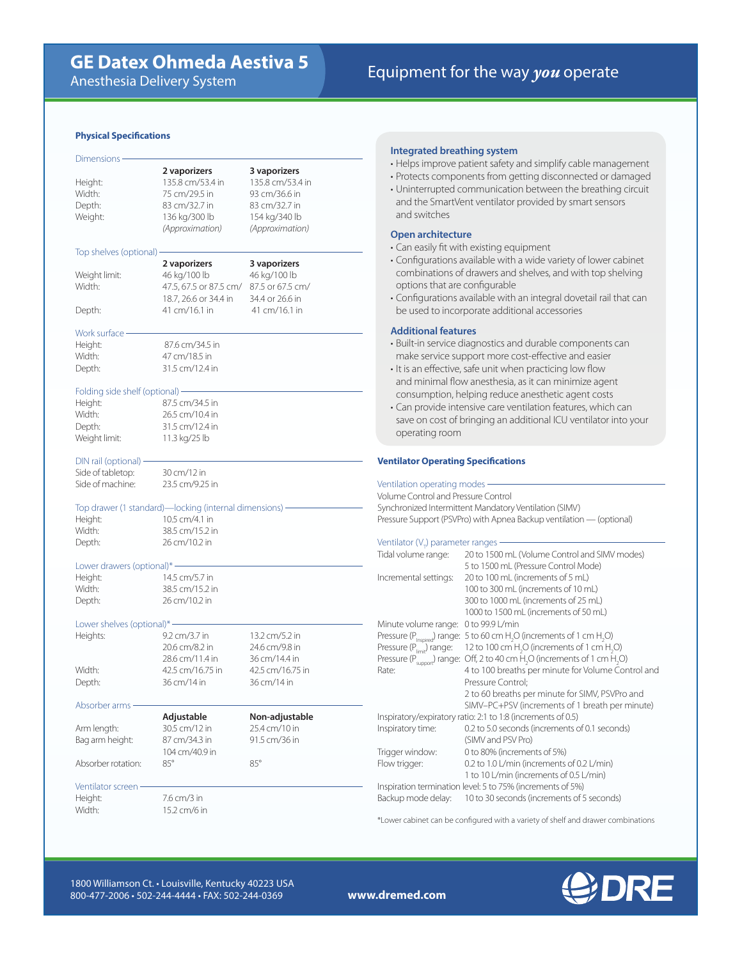## **Physical Specifications**

| Dimensions ·                    |                                                         |                  |
|---------------------------------|---------------------------------------------------------|------------------|
|                                 | 2 vaporizers                                            | 3 vaporizers     |
| Height:                         | 135.8 cm/53.4 in                                        | 135.8 cm/53.4 in |
| Width:                          | 75 cm/29.5 in                                           | 93 cm/36.6 in    |
| Depth:                          | 83 cm/32.7 in                                           | 83 cm/32.7 in    |
| Weight:                         | 136 kg/300 lb                                           | 154 kg/340 lb    |
|                                 | (Approximation)                                         | (Approximation)  |
|                                 |                                                         |                  |
|                                 |                                                         |                  |
| Top shelves (optional)          |                                                         |                  |
|                                 | 2 vaporizers                                            | 3 vaporizers     |
| Weight limit:                   | 46 kg/100 lb                                            | 46 kg/100 lb     |
| Width:                          | 47.5, 67.5 or 87.5 cm/                                  | 87.5 or 67.5 cm/ |
|                                 | 18.7, 26.6 or 34.4 in                                   | 34.4 or 26.6 in  |
| Depth:                          | 41 cm/16.1 in                                           | 41 cm/16.1 in    |
|                                 |                                                         |                  |
| Work surface ·                  |                                                         |                  |
|                                 |                                                         |                  |
| Height:                         | 87.6 cm/34.5 in                                         |                  |
| Width:                          | 47 cm/18.5 in                                           |                  |
| Depth:                          | 31.5 cm/12.4 in                                         |                  |
|                                 |                                                         |                  |
| Folding side shelf (optional) - |                                                         |                  |
| Height:                         | 87.5 cm/34.5 in                                         |                  |
| Width:                          | 26.5 cm/10.4 in                                         |                  |
|                                 |                                                         |                  |
| Depth:                          | 31.5 cm/12.4 in                                         |                  |
| Weight limit:                   | 11.3 kg/25 lb                                           |                  |
|                                 |                                                         |                  |
| DIN rail (optional) -           |                                                         |                  |
| Side of tabletop:               | 30 cm/12 in                                             |                  |
|                                 |                                                         |                  |
| Side of machine:                | 23.5 cm/9.25 in                                         |                  |
|                                 |                                                         |                  |
|                                 |                                                         |                  |
|                                 | Top drawer (1 standard)—locking (internal dimensions) - |                  |
| Height:                         | 10.5 cm/4.1 in                                          |                  |
| Width:                          | 38.5 cm/15.2 in                                         |                  |
| Depth:                          | 26 cm/10.2 in                                           |                  |
|                                 |                                                         |                  |
| Lower drawers (optional)* -     |                                                         |                  |
| Height:                         | 14.5 cm/5.7 in                                          |                  |
| Width:                          | 38.5 cm/15.2 in                                         |                  |
|                                 |                                                         |                  |
| Depth:                          | 26 cm/10.2 in                                           |                  |
|                                 |                                                         |                  |
| Lower shelves (optional)* -     |                                                         |                  |
| Heights:                        | 9.2 cm/3.7 in                                           | 13.2 cm/5.2 in   |
|                                 | 20.6 cm/8.2 in                                          | 24.6 cm/9.8 in   |
|                                 | 28.6 cm/11.4 in                                         | 36 cm/14.4 in    |
| Width:                          | 42.5 cm/16.75 in                                        | 42.5 cm/16.75 in |
|                                 |                                                         |                  |
| Depth:                          | 36 cm/14 in                                             | 36 cm/14 in      |
|                                 |                                                         |                  |
| Absorber arms ·                 |                                                         |                  |
|                                 | Adjustable                                              | Non-adjustable   |
| Arm length:                     | 30.5 cm/12 in                                           | 25.4 cm/10 in    |
| Bag arm height:                 | 87 cm/34.3 in                                           | 91.5 cm/36 in    |
|                                 | 104 cm/40.9 in                                          |                  |
| Absorber rotation:              | $85^\circ$                                              | $85^\circ$       |
|                                 |                                                         |                  |
| Ventilator screen ·             |                                                         |                  |
|                                 |                                                         |                  |
| Height:<br>Width:               | 7.6 cm/3 in<br>15.2 cm/6 in                             |                  |

# **Integrated breathing system**

- Helps improve patient safety and simplify cable management
- Protects components from getting disconnected or damaged
- Uninterrupted communication between the breathing circuit and the SmartVent ventilator provided by smart sensors and switches

# **Open architecture**

- Can easily fit with existing equipment
- Configurations available with a wide variety of lower cabinet combinations of drawers and shelves, and with top shelving options that are configurable
- Configurations available with an integral dovetail rail that can be used to incorporate additional accessories

## **Additional features**

- Built-in service diagnostics and durable components can make service support more cost-effective and easier
- It is an effective, safe unit when practicing low flow and minimal flow anesthesia, as it can minimize agent consumption, helping reduce anesthetic agent costs
- Can provide intensive care ventilation features, which can save on cost of bringing an additional ICU ventilator into your operating room

# **Ventilator Operating Specifications**

Ventilation operating modes Volume Control and Pressure Control Synchronized Intermittent Mandatory Ventilation (SIMV) Pressure Support (PSVPro) with Apnea Backup ventilation — (optional)

# Ventilator (V<sub>T</sub>) parameter ranges

| Tidal volume range:                  | 20 to 1500 mL (Volume Control and SIMV modes)                                                                  |
|--------------------------------------|----------------------------------------------------------------------------------------------------------------|
|                                      | 5 to 1500 mL (Pressure Control Mode)                                                                           |
| Incremental settings:                | 20 to 100 mL (increments of 5 mL)                                                                              |
|                                      | 100 to 300 mL (increments of 10 mL)                                                                            |
|                                      | 300 to 1000 mL (increments of 25 mL)                                                                           |
|                                      | 1000 to 1500 mL (increments of 50 mL)                                                                          |
| Minute volume range:                 | 0 to 99.9 L/min                                                                                                |
|                                      | Pressure (P <sub>Inspired</sub> ) range: 5 to 60 cm H <sub>2</sub> O (increments of 1 cm H <sub>2</sub> O)     |
| Pressure $(P_{\text{limit}})$ range: | 12 to 100 cm H <sub>2</sub> O (increments of 1 cm H <sub>2</sub> O)                                            |
|                                      | Pressure ( $P_{\text{smooth}}$ ) range: Off, 2 to 40 cm H <sub>2</sub> O (increments of 1 cm H <sub>2</sub> O) |
| Rate:                                | 4 to 100 breaths per minute for Volume Control and                                                             |
|                                      | Pressure Control;                                                                                              |
|                                      | 2 to 60 breaths per minute for SIMV, PSVPro and                                                                |
|                                      | SIMV-PC+PSV (increments of 1 breath per minute)                                                                |
|                                      | Inspiratory/expiratory ratio: 2:1 to 1:8 (increments of 0.5)                                                   |
| Inspiratory time:                    | 0.2 to 5.0 seconds (increments of 0.1 seconds)                                                                 |
|                                      | (SIMV and PSV Pro)                                                                                             |
| Trigger window:                      | 0 to 80% (increments of 5%)                                                                                    |
| Flow trigger:                        | 0.2 to 1.0 L/min (increments of 0.2 L/min)                                                                     |
|                                      | 1 to 10 L/min (increments of 0.5 L/min)                                                                        |
|                                      | Inspiration termination level: 5 to 75% (increments of 5%)                                                     |
| Backup mode delay:                   | 10 to 30 seconds (increments of 5 seconds)                                                                     |

\*Lower cabinet can be configured with a variety of shelf and drawer combinations

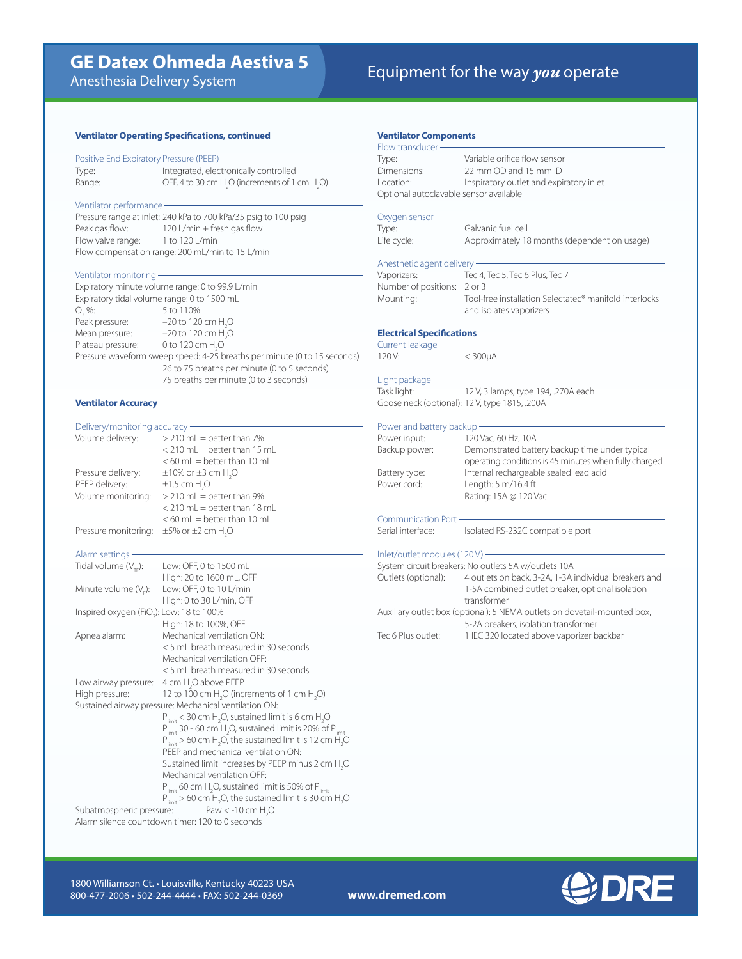# **GE Datex Ohmeda Aestiva 5**<br>Aposthesia Delivery System **GE Dates In the Way** *you* operate

Anesthesia Delivery System

## **Ventilator Operating Specifications, continued**

Positive End Expiratory Pressure (PEEP) Type: Integrated, electronically controlled Range:  $OFF$ , 4 to 30 cm  $H_2O$  (increments of 1 cm  $H_2O$ )

# Ventilator performance

Pressure range at inlet: 240 kPa to 700 kPa/35 psig to 100 psig Peak gas flow: 120 L/min + fresh gas flow Flow valve range: 1 to 120 L/min Flow compensation range: 200 mL/min to 15 L/min

# Ventilator monitoring

Expiratory minute volume range: 0 to 99.9 L/min Expiratory tidal volume range: 0 to 1500 mL  $O_2$  %: 5 to 110% Peak pressure:  $-20$  to 120 cm  $H_2O$ Mean pressure:  $-20$  to 120 cm  $H_2O$ Plateau pressure:  $0$  to 120 cm  $H_2O$ Pressure waveform sweep speed: 4-25 breaths per minute (0 to 15 seconds) 26 to 75 breaths per minute (0 to 5 seconds) 75 breaths per minute (0 to 3 seconds)

# **Ventilator Accuracy**

| Delivery/monitoring accuracy -                       |                                                                                                                                                                                                                                                                                                     |
|------------------------------------------------------|-----------------------------------------------------------------------------------------------------------------------------------------------------------------------------------------------------------------------------------------------------------------------------------------------------|
| Volume delivery:                                     | $>$ 210 mL = better than 7%<br>$<$ 210 mL = better than 15 mL<br>$<$ 60 mL = better than 10 mL                                                                                                                                                                                                      |
| Pressure delivery:                                   | $\pm 10\%$ or $\pm 3$ cm H <sub>2</sub> O                                                                                                                                                                                                                                                           |
| PEEP delivery:                                       | $\pm 1.5$ cm H <sub>2</sub> O                                                                                                                                                                                                                                                                       |
| Volume monitoring:                                   | > 210 mL = better than 9%<br>$<$ 210 mL = better than 18 mL<br>$<$ 60 mL = better than 10 mL                                                                                                                                                                                                        |
| Pressure monitoring:                                 | $\pm 5\%$ or $\pm 2$ cm H <sub>2</sub> O                                                                                                                                                                                                                                                            |
| Alarm settings -                                     |                                                                                                                                                                                                                                                                                                     |
| Tidal volume $(V_{\text{TE}})$ :                     | Low: OFF, 0 to 1500 mL<br>High: 20 to 1600 mL, OFF                                                                                                                                                                                                                                                  |
| Minute volume $(VF)$ :                               | Low: OFF, 0 to 10 L/min<br>High: 0 to 30 L/min, OFF                                                                                                                                                                                                                                                 |
| Inspired oxygen (FiO <sub>2</sub> ): Low: 18 to 100% | High: 18 to 100%, OFF                                                                                                                                                                                                                                                                               |
| Apnea alarm:                                         | Mechanical ventilation ON:                                                                                                                                                                                                                                                                          |
|                                                      | < 5 mL breath measured in 30 seconds                                                                                                                                                                                                                                                                |
|                                                      | Mechanical ventilation OFF:                                                                                                                                                                                                                                                                         |
|                                                      | < 5 mL breath measured in 30 seconds                                                                                                                                                                                                                                                                |
| Low airway pressure:                                 | 4 cm H <sub>2</sub> O above PEEP                                                                                                                                                                                                                                                                    |
| High pressure:                                       | 12 to 100 cm H <sub>2</sub> O (increments of 1 cm H <sub>2</sub> O)                                                                                                                                                                                                                                 |
|                                                      | Sustained airway pressure: Mechanical ventilation ON:                                                                                                                                                                                                                                               |
|                                                      | $P_{limit}$ < 30 cm H <sub>2</sub> O, sustained limit is 6 cm H <sub>2</sub> O<br>$P_{\text{limit}}$ 30 - 60 cm $H_2O$ , sustained limit is 20% of $P_{\text{limit}}$<br>$P_{limit}$ > 60 cm H <sub>2</sub> O, the sustained limit is 12 cm H <sub>2</sub> O<br>PEEP and mechanical ventilation ON: |

Sustained limit increases by PEEP minus 2 cm  $H_2O$ Mechanical ventilation OFF:

 $P_{\text{limit}}$  60 cm  $H_2$  $P_{limit}$  60 cm H<sub>2</sub>O, sustained limit is 50% of P<sub>limit</sub>

 $P_{\text{limit}}$  > 60 cm H<sub>2</sub>O, the sustained limit is 30 cm H<sub>2</sub>O Subatmospheric pressure:  $Paw < -10$  cm  $H<sub>2</sub>O$ 

Alarm silence countdown timer: 120 to 0 seconds

| <b>Ventilator Components</b>           |                                                                          |
|----------------------------------------|--------------------------------------------------------------------------|
| Flow transducer-                       |                                                                          |
| Type:                                  | Variable orifice flow sensor                                             |
| Dimensions:                            | 22 mm OD and 15 mm ID                                                    |
| Location:                              |                                                                          |
|                                        | Inspiratory outlet and expiratory inlet                                  |
| Optional autoclavable sensor available |                                                                          |
| Oxygen sensor -                        |                                                                          |
| Type:                                  | Galvanic fuel cell                                                       |
| Life cycle:                            | Approximately 18 months (dependent on usage)                             |
| Anesthetic agent delivery -            |                                                                          |
| Vaporizers:                            | Tec 4, Tec 5, Tec 6 Plus, Tec 7                                          |
| Number of positions:                   | $2$ or $3$                                                               |
| Mounting:                              | Tool-free installation Selectatec® manifold interlocks                   |
|                                        | and isolates vaporizers                                                  |
| <b>Electrical Specifications</b>       |                                                                          |
| Current leakage -                      |                                                                          |
| 120V:                                  | $<$ 300 $\mu$ A                                                          |
| Light package                          |                                                                          |
| Task light:                            | 12 V, 3 lamps, type 194, .270A each                                      |
|                                        | Goose neck (optional): 12 V, type 1815, .200A                            |
| Power and battery backup -             |                                                                          |
| Power input:                           | 120 Vac, 60 Hz, 10A                                                      |
| Backup power:                          | Demonstrated battery backup time under typical                           |
|                                        | operating conditions is 45 minutes when fully charged                    |
| Battery type:                          | Internal rechargeable sealed lead acid                                   |
| Power cord:                            | Length: 5 m/16.4 ft                                                      |
|                                        | Rating: 15A @ 120 Vac                                                    |
|                                        |                                                                          |
| <b>Communication Port-</b>             |                                                                          |
| Serial interface:                      | Isolated RS-232C compatible port                                         |
| Inlet/outlet modules (120V) -          |                                                                          |
|                                        | System circuit breakers: No outlets 5A w/outlets 10A                     |
| Outlets (optional):                    | 4 outlets on back, 3-2A, 1-3A individual breakers and                    |
|                                        | 1-5A combined outlet breaker, optional isolation                         |
|                                        | transformer                                                              |
|                                        | Auxiliary outlet box (optional): 5 NEMA outlets on dovetail-mounted box, |
|                                        | 5-2A breakers, isolation transformer                                     |
| Tec 6 Plus outlet:                     | 1 IEC 320 located above vaporizer backbar                                |
|                                        |                                                                          |
|                                        |                                                                          |